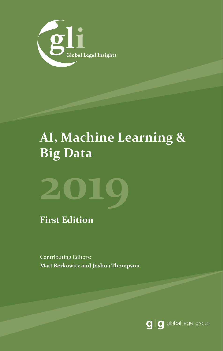

### **AI, Machine Learning & Big Data**



**First Edition**

Contributing Editors: **Matt Berkowitz and Joshua Thompson**

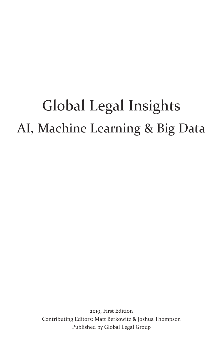# Global Legal Insights AI, Machine Learning & Big Data

2019, First Edition Contributing Editors: Matt Berkowitz & Joshua Thompson Published by Global Legal Group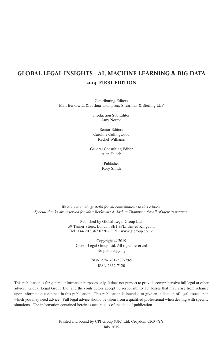### **GLOBAL LEGAL INSIGHTS - AI, MACHINE LEARNING & BIG DATA 2019, FIRST EDITION**

Contributing Editors Matt Berkowitz & Joshua Thompson, Shearman & Sterling LLP

> Production Sub Editor Amy Norton

> Senior Editors Caroline Collingwood Rachel Williams

General Consulting Editor Alan Falach

> Publisher Rory Smith

*We are extremely grateful for all contributions to this edition. Special thanks are reserved for Matt Berkowitz & Joshua Thompson for all of their assistance.*

> Published by Global Legal Group Ltd. 59 Tanner Street, London SE1 3PL, United Kingdom Tel: +44 207 367 0720 / URL: www.glgroup.co.uk

Copyright © 2019 Global Legal Group Ltd. All rights reserved No photocopying

> ISBN 978-1-912509-79-9 ISSN 2632-7120

This publication is for general information purposes only. It does not purport to provide comprehensive full legal or other advice. Global Legal Group Ltd. and the contributors accept no responsibility for losses that may arise from reliance upon information contained in this publication. This publication is intended to give an indication of legal issues upon which you may need advice. Full legal advice should be taken from a qualified professional when dealing with specific situations. The information contained herein is accurate as of the date of publication.

> Printed and bound by CPI Group (UK) Ltd, Croydon, CR0 4YY July 2019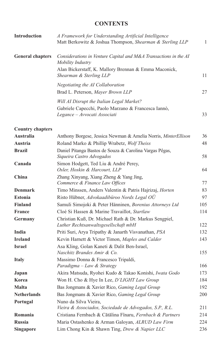#### **CONTENTS**

| <b>Introduction</b>     | A Framework for Understanding Artificial Intelligence<br>Matt Berkowitz & Joshua Thompson, Shearman & Sterling LLP | 1   |
|-------------------------|--------------------------------------------------------------------------------------------------------------------|-----|
| <b>General chapters</b> | Considerations in Venture Capital and M&A Transactions in the AI<br>Mobility Industry                              |     |
|                         | Alan Bickerstaff, K. Mallory Brennan & Emma Maconick,<br>Shearman & Sterling LLP                                   | 11  |
|                         | Negotiating the AI Collaboration                                                                                   |     |
|                         | Brad L. Peterson, Mayer Brown LLP                                                                                  | 27  |
|                         | Will AI Disrupt the Italian Legal Market?                                                                          |     |
|                         | Gabriele Capecchi, Paolo Marzano & Francesca Iannò,                                                                |     |
|                         | Legance - Avvocati Associati                                                                                       | 33  |
| <b>Country chapters</b> |                                                                                                                    |     |
| <b>Australia</b>        | Anthony Borgese, Jessica Newman & Amelia Norris, MinterEllison                                                     | 36  |
| Austria                 | Roland Marko & Phillip Wrabetz, Wolf Theiss                                                                        | 48  |
| <b>Brazil</b>           | Daniel Pitanga Bastos de Souza & Carolina Vargas Pêgas,                                                            |     |
|                         | Siqueira Castro Advogados                                                                                          | 58  |
| Canada                  | Simon Hodgett, Ted Liu & André Perey,<br>Osler, Hoskin & Harcourt, LLP                                             | 64  |
| China                   | Zhang Xinyang, Xiang Zheng & Yang Jing,<br>Commerce & Finance Law Offices                                          | 77  |
| <b>Denmark</b>          | Timo Minssen, Anders Valentin & Patris Hajrizaj, Horten                                                            | 83  |
| <b>Estonia</b>          | Risto Hübner, Advokaadibüroo Nordx Legal OÜ                                                                        | 97  |
| <b>Finland</b>          | Samuli Simojoki & Peter Hänninen, Borenius Attorneys Ltd                                                           | 105 |
| France                  | Cloé Si Hassen & Marine Travaillot, Startlaw                                                                       | 114 |
| Germany                 | Christian Kuß, Dr. Michael Rath & Dr. Markus Sengpiel,                                                             |     |
|                         | Luther Rechtsanwaltsgesellschaft mbH                                                                               | 122 |
| India                   | Priti Suri, Arya Tripathy & Janarth Visvanathan, PSA                                                               | 132 |
| <b>Ireland</b>          | Kevin Harnett & Victor Timon, Maples and Calder                                                                    | 143 |
| <b>Israel</b>           | Asa Kling, Golan Kaneti & Dalit Ben-Israel,                                                                        |     |
|                         | Naschitz Brandes Amir & Co.                                                                                        | 155 |
| <b>Italy</b>            | Massimo Donna & Francesco Tripaldi,                                                                                |     |
|                         | Paradigma - Law & Strategy                                                                                         | 166 |
| Japan                   | Akira Matsuda, Ryohei Kudo & Takao Konishi, Iwata Godo                                                             | 173 |
| Korea                   | Won H. Cho & Hye In Lee, D'LIGHT Law Group                                                                         | 184 |
| <b>Malta</b>            | Bas Jongmans & Xavier Rico, Gaming Legal Group                                                                     | 192 |
| <b>Netherlands</b>      | Bas Jongmans & Xavier Rico, Gaming Legal Group                                                                     | 200 |
| Portugal                | Nuno da Silva Vieira,<br>Vieira & Associados, Sociedade de Advogados, S.P., R.L.                                   | 211 |
| Romania                 | Cristiana Fernbach & Cătălina Fînaru, Fernbach & Partners                                                          | 214 |
| <b>Russia</b>           | Maria Ostashenko & Arman Galoyan, ALRUD Law Firm                                                                   | 224 |
| <b>Singapore</b>        | Lim Chong Kin & Shawn Ting, Drew & Napier LLC                                                                      | 236 |
|                         |                                                                                                                    |     |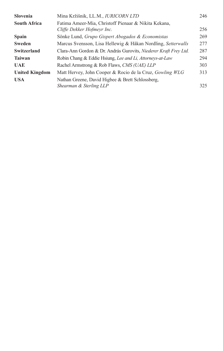| <b>Slovenia</b>       | Mina Kržišnik, LL.M., IURICORN LTD                               | 246 |
|-----------------------|------------------------------------------------------------------|-----|
| <b>South Africa</b>   | Fatima Ameer-Mia, Christoff Pienaar & Nikita Kekana,             |     |
|                       | Cliffe Dekker Hofmeyr Inc.                                       | 256 |
| <b>Spain</b>          | Sönke Lund, Grupo Gispert Abogados & Economistas                 | 269 |
| <b>Sweden</b>         | Marcus Svensson, Lisa Hellewig & Håkan Nordling, Setterwalls     | 277 |
| Switzerland           | Clara-Ann Gordon & Dr. András Gurovits, Niederer Kraft Frey Ltd. | 287 |
| <b>Taiwan</b>         | Robin Chang & Eddie Hsiung, Lee and Li, Attorneys-at-Law         | 294 |
| <b>UAE</b>            | Rachel Armstrong & Rob Flaws, CMS (UAE) LLP                      | 303 |
| <b>United Kingdom</b> | Matt Hervey, John Cooper & Rocio de la Cruz, Gowling WLG         | 313 |
| <b>USA</b>            | Nathan Greene, David Higbee & Brett Schlossberg,                 |     |
|                       | Shearman & Sterling LLP                                          | 325 |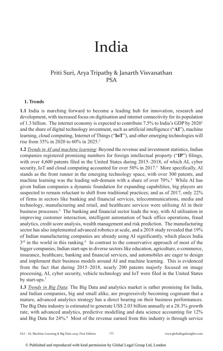## India

#### Priti Suri, Arya Tripathy & Janarth Visvanathan PSA

#### **1. Trends**

**1.1** India is marching forward to become a leading hub for innovation, research and development, with increased focus on digitisation and internet connectivity for its population of 1.3 billion. The internet economy is expected to contribute 7.5% to India's GDP by 2020<sup>1</sup> and the share of digital technology investment, such as artificial intelligence ("**AI**"), machine learning, cloud computing, Internet of Things ("**IoT**"), and other emerging technologies will rise from 35% in 2020 to 60% in 2025.2

**1.2** *Trends in AI and machine learning*: Beyond the revenue and investment statistics, Indian companies registered promising numbers for foreign intellectual property ("**IP**") filings, with over 4,600 patents filed in the United States during 2015–2018, of which AI, cyber security, IoT and cloud computing accounted for over 50% in 2017.<sup>3</sup> More specifically, AI stands as the front runner in the emerging technology space, with over 300 patents, and machine learning was the leading sub-domain with a share of over 70%.<sup>4</sup> While AI has given Indian companies a dynamic foundation for expanding capabilities, big players are suspected to remain reluctant to shift from traditional practices; and as of 2017, only 22% of firms in sectors like banking and financial services, telecommunications, media and technology, manufacturing and retail, and healthcare services were utilising AI in their business processes.5 The banking and financial sector leads the way, with AI utilisation in improving customer interaction, intelligent automation of back office operations, fraud analytics, credit score analysis, wealth management and risk prediction. The manufacturing sector has also implemented advanced robotics at scale, and a 2018 study revealed that 19% of Indian manufacturing companies are already using AI significantly, which places India  $3<sup>rd</sup>$  in the world in this ranking.<sup>6</sup> In contrast to the conservative approach of most of the bigger companies, Indian start-ups in diverse sectors like education, agriculture, e-commerce, insurance, healthcare, banking and financial services, and automobiles are eager to design and implement their business models around AI and machine learning. This is evidenced from the fact that during 2015–2018, nearly 200 patents majorly focused on image processing, AI, cyber security, vehicle technology and IoT were filed in the United States by start-ups.<sup>7</sup>

**1.3** *Trends in Big Data*: The Big Data and analytics market is rather promising for India, and Indian companies, big and small alike, are progressively becoming cognisant that a mature, advanced analytics strategy has a direct bearing on their business performances. The Big Data industry is estimated to generate US\$ 2.03 billion annually at a 28.3% growth rate, with advanced analytics, predictive modelling and data science accounting for 12% and Big Data for 24%.<sup>8</sup> Most of the revenue earned from this industry is through service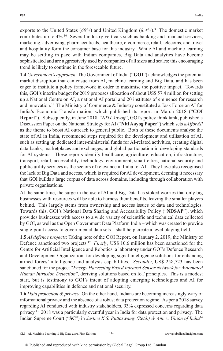exports to the United States (*60%*) and United Kingdom (*8.4%*).9 The domestic market contributes up to 4%.10 Several industry verticals such as banking and financial services, marketing, advertising, pharmaceuticals, healthcare, e-commerce, retail, telecoms, and travel and hospitality form the consumer base for this industry. While AI and machine learning may be settling in pace with Indian companies, Big Data and analytics have become sophisticated and are aggressively used by companies of all sizes and scales; this encouraging trend is likely to continue in the foreseeable future.

**1.4** *Government's approach*: The Government of India ("**GOI**") acknowledges the potential market disruption that can ensue from AI, machine learning and Big Data, and has been eager to institute a policy framework in order to maximise the positive impact. Towards this, GOI's interim budget for 2019 proposes allocation of about US\$ 57.4 million for setting up a National Centre on AI, a national AI portal and 20 institutes of eminence for research and innovation.<sup>11</sup> The Ministry of Commerce & Industry constituted a Task Force on AI for India's Economic Transformation, which published its report in March 2018 ("**GOI Report**"). Subsequently, in June 2018, "*NITI Aayog*", GOI's policy think tank, published a Discussion Paper on the National Strategy for AI ("**Niti Aayog Paper**") which sets *#AIforAll* as the theme to boost AI outreach to general public. Both of these documents analyse the state of AI in India, recommend steps required for the development and utilisation of AI, such as setting up dedicated inter-ministerial funds for AI-related activities, creating digital data banks, marketplaces and exchanges, and global participation in developing standards for AI systems. These reports identify healthcare, agriculture, education, infrastructure, transport, retail, accessibility, technology, environment, smart cities, national security and public utility services as the sectors of relevance in India for AI. They have also recognised the lack of Big Data and access, which is required for AI development, deeming it necessary that GOI builds a large corpus of data across domains, including through collaboration with private organisations.

At the same time, the surge in the use of AI and Big Data has stoked worries that only big businesses with resources will be able to harness their benefits, leaving the smaller players behind. This largely stems from ownership and access issues of data and technologies. Towards this, GOI's National Data Sharing and Accessibility Policy ("**NDSAP**"), which provides businesses with access to a wide variety of scientific and technical data collected by GOI, as well as the Open Government Data Platform India – which was created to provide single-point access to governmental data sets – shall help create a level playing field.

**1.5** *AI defence projects*: Taking note of the GOI Report, on January 2, 2019, the Ministry of Defence sanctioned two projects.<sup>12</sup> *Firstly*, US\$ 10.6 million has been sanctioned for the Centre for Artificial Intelligence and Robotics, a laboratory under GOI's Defence Research and Development Organization, for developing signal intelligence solutions for enhancing armed forces' intelligence and analysis capabilities. *Secondly*, US\$ 258,723 has been sanctioned for the project "*Energy Harvesting Based Infrared Sensor Network for Automated Human Intrusion Detection*", deriving solutions based on IoT principles. This is a modest start, but is testimony to GOI's intent of adopting emerging technologies and AI for improving capabilities in defence and national security.

**1.6** *Data protection & privacy*: On the other hand, Indians are becoming increasingly wary of informational privacy and the absence of a robust data protection regime. As per a 2018 survey regarding AI conducted with industry stakeholders, 93% expressed concerns regarding data privacy.13 2018 was a particularly eventful year in India for data protection and privacy. The Indian Supreme Court ("**SC**") in *Justice K.S. Puttaswamy (Retd.) & Anr. v. Union of India*<sup>14</sup>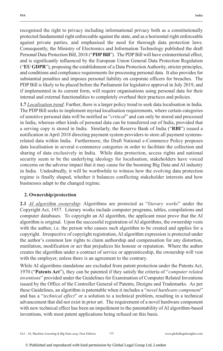recognised the right to privacy including informational privacy both as a constitutionally protected fundamental right enforceable against the state, and as a horizontal right enforceable against private parties, and emphasised the need for thorough data protection laws. Consequently, the Ministry of Electronics and Information Technology published the draft Personal Data Protection Bill, 2018 ("**PDP Bill**"). The PDP Bill will have extraterritorial effect, and is significantly influenced by the European Union General Data Protection Regulation ("**EU GDPR**"), proposing the establishment of a Data Protection Authority, stricter principles, and conditions and compliance requirements for processing personal data. It also provides for substantial penalties and imposes personal liability on corporate officers for breaches. The PDP Bill is likely to be placed before the Parliament for legislative approval in July 2019, and if implemented in its current form, will require organisations using personal data for their internal and external functionalities to completely overhaul their practices and policies.

**1.7** *Localisation trend*: Further, there is a larger policy trend to seek data localisation in India. The PDP Bill seeks to implement myriad localisation requirements, where certain categories of sensitive personal data will be notified as "*critical*" and can only be stored and processed in India, whereas other kinds of personal data can be transferred out of India, provided that a serving copy is stored in India. Similarly, the Reserve Bank of India ("**RBI**") issued a notification in April 2018 directing payment system providers to store all payment systemsrelated data within India. Furthermore, the Draft National e-Commerce Policy proposes data localisation in several e-commerce categories in order to facilitate the collection and sharing of data exclusively in India. While data protection, access rights and national security seem to be the underlying ideology for localisation, stakeholders have voiced concerns on the adverse impact that it may cause for the booming Big Data and AI industry in India. Undoubtedly, it will be worthwhile to witness how the evolving data protection regime is finally shaped, whether it balances conflicting stakeholder interests and how businesses adapt to the changed regime.

#### **2. Ownership/protection**

**2.1** *AI algorithm ownership*: Algorithms are protected as "*literary works*" under the Copyright Act, 1957. Literary works include computer programs, tables, compilations and computer databases. To copyright an AI algorithm, the applicant must prove that the AI algorithm is original. Upon the successful registration of AI algorithms, the ownership vests with the author, i.e. the person who causes such algorithm to be created and applies for a copyright. Irrespective of copyright registration, AI algorithm expression is protected under the author's common law rights to claim authorship and compensation for any distortion, mutilation, modification or act that prejudices his honour or reputation. Where the author creates the algorithm under a contract of service or apprenticeship, the ownership will vest with the employer, unless there is an agreement to the contrary.

While AI algorithms standalone are excluded from patent protection under the Patents Act, 1970 ("**Patents Act**"), they can be patented if they satisfy the criteria of "*computer related inventions*" provided under the Guidelines for Examination of Computer Related Inventions issued by the Office of the Controller General of Patents, Designs and Trademarks. As per these Guidelines, an algorithm is patentable when it includes a "*novel hardware component*" and has a "*technical effect*" or a solution to a technical problem, resulting in a technical advancement that did not exist in prior art. The requirement of a novel hardware component with new technical effect has been an impediment to the patentability of AI algorithm-based inventions, with most patent applications being refused on this basis.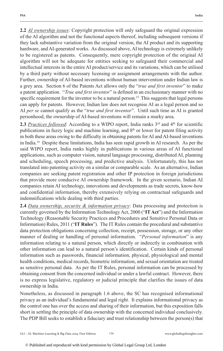**2.2** *AI ownership issues*: Copyright protection will only safeguard the original expression of the AI algorithm and not the functional aspects thereof, including subsequent versions if they lack substantive variation from the original version, the AI product and its supporting hardware, and AI-generated works. As discussed above, AI technology is extremely unlikely to be registered as patents. Consequently, mere copyright protection of the original AI algorithm will not be adequate for entities seeking to safeguard their commercial and intellectual interests in the entire AI product/service and its variations, which can be utilised by a third party without necessary licensing or assignment arrangements with the author. Further, ownership of AI-based inventions without human intervention under Indian law is a grey area. Section 6 of the Patents Act allows only the "*true and first inventor*" to make a patent application. "*True and first inventor*" is defined in an exclusionary manner with no specific requirement for the inventor to be a natural person.<sup>15</sup> This suggests that legal persons can apply for patents. However, Indian law does not recognise AI as a legal person and so AI *per se* cannot qualify as the "*true and first inventor*". Until such time as AI is granted personhood, the ownership of AI-based inventions will remain a murky area.

**2.3** *Practices followed*: According to a WIPO report, India ranks 3<sup>rd</sup> and 4<sup>th</sup> for scientific publications in fuzzy logic and machine learning, and 8<sup>th</sup> or lower for patent filing activity in both these areas owing to the difficulty in obtaining patents for AI and AI-based inventions in India.16 Despite these limitations, India has seen rapid growth in AI research. As per the said WIPO report, India ranks highly in publications in various areas of AI functional applications, such as computer vision, natural language processing, distributed AI, planning and scheduling, speech processing, and predictive analysis. Unfortunately, this has not translated into patenting activity on a similar or comparable scale. As an alternative, Indian companies are seeking patent registration and other IP protection in foreign jurisdictions that provide more conducive AI ownership framework. In the given scenario, Indian AI companies retain AI technology, innovations and developments as trade secrets, know-how and confidential information, thereby extensively relying on contractual safeguards and indemnifications while dealing with third parties.

**2.4** *Data ownership, security & information privacy*: Data processing and protection is currently governed by the Information Technology Act, 2000 ("**IT Act**") and the Information Technology (Reasonable Security Practices and Procedures and Sensitive Personal Data or Information) Rules, 2011 ("**IT Rules**"). The IT Rules contain the procedural and substantive data protection obligations concerning collection, receipt, possession, storage, or any other manner of dealing or handling of personal information. "*Personal information*" is any information relating to a natural person, which directly or indirectly in combination with other information can lead to a natural person's identification. Certain kinds of personal information such as passwords, financial information, physical, physiological and mental health conditions, medical records, biometric information, and sexual orientation are treated as sensitive personal data. As per the IT Rules, personal information can be processed by obtaining consent from the concerned individual or under a lawful contract. However, there is no express legislative, regulatory or judicial principle that clarifies the issues of data ownership in India.

Nonetheless, as discussed in paragraph 1.6 above, the SC has recognised informational privacy as an individual's fundamental and legal right. It explains informational privacy as the control one has over the access and sharing of their information, but this exposition falls short in settling the principle of data ownership with the concerned individual conclusively. The PDP Bill seeks to establish a fiduciary and trust relationship between the person(s) that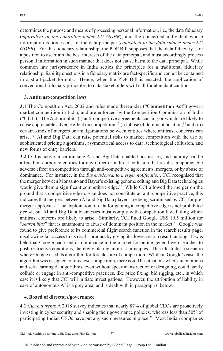determines the purpose and means of processing personal information, i.e., the data fiduciary (*equivalent of the controller under EU GDPR*), and the concerned individual whose information is processed, i.e. the data principal (*equivalent to the data subject under EU GDPR*). For this fiduciary relationship, the PDP Bill supposes that the data fiduciary is in a position to ascertain the best interests of the data principal, and must accordingly process personal information in such manner that does not cause harm to the data principal. While common law jurisprudence in India settles the principles for a traditional fiduciary relationship, liability questions in a fiduciary matrix are fact-specific and cannot be contained in a strait-jacket formula. Hence, when the PDP Bill is enacted, the application of conventional fiduciary principles to data stakeholders will call for abundant caution.

#### **3. Antitrust/competition laws**

**3.1** The Competition Act, 2002 and rules made thereunder ("**Competition Act**") govern market competition in India, and are enforced by the Competition Commission of India ("**CCI**"). The Act prohibits (i) anti-competitive agreements causing or which are likely to cause appreciable adverse effect on competition,<sup>17</sup> (ii) abuse of dominant position,<sup>18</sup> and (iii) certain kinds of mergers or amalgamations between entities where antitrust concerns can arise.19 AI and Big Data can raise potential risks to market competition with the use of sophisticated pricing algorithms, asymmetrical access to data, technological collusion, and new forms of entry barriers.

**3.2** CCI is active in scrutinising AI and Big Data-enabled businesses, and liability can be affixed on corporate entities for any direct or indirect collusion that results in appreciable adverse effect on competition through anti-competitive agreements, mergers, or by abuse of dominance. For instance, in the *Bayer/Monsanto merger notification*, CCI recognised that the merger between Monsanto and Bayer's existing genome editing and Big Data technologies would give them a significant competitive edge.<sup>20</sup> While CCI allowed the merger on the ground that a competitive edge *per se* does not constitute an anti-competitive practice, this indicates that mergers between AI and Big Data players are being scrutinised by CCI for premerger approvals. The exploitation of data for gaining a competitive edge is not prohibited *per se*, but AI and Big Data businesses must comply with competition law, failing which antitrust concerns are likely to arise. Similarly, CCI fined Google US\$ 19.5 million for "*search bias*" that is tantamount to abuse of dominant position in the market.<sup>21</sup> Google was found to give preference to its commercial flight search function in the search results page, disallowing fair access to its rival's product by giving it a lower search result ranking. It was held that Google had used its dominance in the market for online general web searches to push restrictive conditions, thereby violating antitrust principles. This illustrates a scenario where Google used its algorithm for foreclosure of competition. While in Google's case, the algorithm was designed to foreclose competition, there could be situations where autonomous and self-learning AI algorithms, even without specific instruction or designing, could tacitly collude or engage in anti-competitive practices, like price fixing, bid rigging, etc., in which case it is likely that CCI will initiate investigations. However, the attribution of liability in case of autonomous AI is a grey area, and is dealt with in paragraph 6 below.

#### **4. Board of directors/governance**

**4.1** *Current trend*: A 2018 survey indicates that nearly 87% of global CEOs are proactively investing in cyber security and shaping their governance policies, whereas less than 50% of participating Indian CEOs have put any such measures in place.<sup>22</sup> Most Indian companies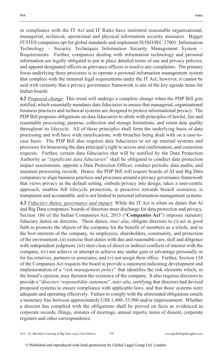in compliance with the IT Act and IT Rules have instituted reasonable organisational, managerial, technical, operational and physical information security measures. Bigger IT/ITES companies opt for global standards and implement IS/ISO/IEC 27001: Information Technology – Security Techniques Information Security Management System – Requirements. Further, companies dealing with information technology and personal information are legally obligated to put in place detailed terms of use and privacy policies, and appoint designated officers as grievance officers to resolve any complaints. The primary focus underlying these processes is to operate a personal information management system that complies with the minimal legal requirements under the IT Act; however, it cannot be said with certainty that a privacy governance framework is one of the key agenda items for Indian boards.

**4.2** *Proposed change*: This trend will undergo a complete change when the PDP Bill gets notified, which essentially mandates data fiduciaries to ensure that managerial, organisational business practices and technical systems are designed to protect informational privacy. The PDP Bill proposes obligations on data fiduciaries to abide with principles of lawful, fair and reasonable processing, purpose, collection and storage limitations, and retain data quality throughout its lifecycle. All of these principles shall form the underlying basis of data processing and will have wide ramifications, with breaches being dealt with on a case-tocase basis. The PDP Bill also requires data fiduciaries to set up internal systems and processes for honouring the data principal's right to access and confirmation, and correction requests. Further, certain data fiduciaries that will be notified by the Data Protection Authority as "*significant data fiduciaries*" shall be obligated to conduct data protection impact assessments, appoint a Data Protection Officer, conduct periodic data audits, and maintain processing records. Hence, the PDP Bill will require boards of AI and Big Data companies to align business practices and processes around a privacy governance framework that views privacy as the default setting, embeds privacy into design, takes a user-centric approach, enables full lifecycle protection, is proactive towards breach scenarios, is transparent and accountable, and is not limited to personal information management systems.

**4.3** *Fiduciary duties, governance and impact*: While the IT Act is silent on duties that AI and Big Data companies' boards of directors must discharge for data protection and privacy, Section 166 of the Indian Companies Act, 2013 ("**Companies Act**") imposes statutory fiduciary duties on directors. These duties, *inter alia*, obligate directors to (i) act in good faith to promote the objects of the company for the benefit of members as a whole, and in the best interests of the company, its employees, shareholders, community, and protection of the environment, (ii) exercise their duties with due and reasonable care, skill and diligence with independent judgment, (iii) steer clear of direct or indirect conflicts of interest with the company, (iv) not achieve or attempt to achieve any undue gain or advantage personally or for his relatives, partners or associates, and (v) not assign their office. Further, Section 134 of the Companies Act requires the board to provide a statement indicating development and implementation of a "*risk management policy*" that identifies the risk elements which, in the board's opinion, may threaten the existence of the company. It also requires directors to provide a "*directors' responsibility statement*", *inter alia*, certifying that directors had devised proposed systems to ensure compliance with applicable laws, and that those systems were adequate and operating effectively. Failure to comply with the aforestated obligations entails a monetary fine between approximately US\$ 1,400–35,900 and/or imprisonment. Whether a director has complied with the obligations shall be proved on facts as evidenced in corporate records, filings, minutes of meetings, annual reports, notes of dissent, corporate registers and other correspondence.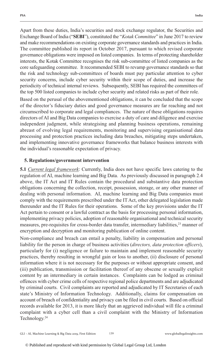Apart from these duties, India's securities and stock exchange regulator, the Securities and Exchange Board of India ("**SEBI**"), constituted the "*Kotak Committee*" in June 2017 to review and make recommendations on existing corporate governance standards and practices in India. The committee published its report in October 2017, pursuant to which revised corporate governance obligations were imposed on listed companies. In terms of protecting shareholder interests, the Kotak Committee recognises the risk sub-committee of listed companies as the core safeguarding committee. It recommended SEBI to revamp governance standards so that the risk and technology sub-committees of boards must pay particular attention to cyber security concerns, include cyber security within their scope of duties, and increase the periodicity of technical internal reviews. Subsequently, SEBI has required the committees of the top 500 listed companies to include cyber security and related risks as part of their role.

Based on the perusal of the abovementioned obligations, it can be concluded that the scope of the director's fiduciary duties and good governance measures are far reaching and not circumscribed to corporate and legal compliances. The nature of these obligations requires directors of AI and Big Data companies to exercise a duty of care and diligence and exercise independent judgment, while strategising and planning business operations, remaining abreast of evolving legal requirements, monitoring and supervising organisational data processing and protection practices including data breaches, mitigating steps undertaken, and implementing innovative governance frameworks that balance business interests with the individual's reasonable expectation of privacy.

#### **5. Regulations/government intervention**

**5.1** *Current legal framework*: Currently, India does not have specific laws catering to the regulation of AI, machine learning and Big Data. As previously discussed in paragraph 2.4 above, the IT Act and IT Rules contain the procedural and substantive data protection obligations concerning the collection, receipt, possession, storage, or any other manner of dealing with personal information. AI, machine learning and Big Data companies must comply with the requirements prescribed under the IT Act, other delegated legislation made thereunder and the IT Rules for their operations. Some of the key provisions under the IT Act pertain to consent or a lawful contract as the basis for processing personal information, implementing privacy policies, adoption of reasonable organisational and technical security measures, pre-requisites for cross-border data transfer, intermediary liabilities,<sup>23</sup> manner of encryption and decryption and monitoring publication of online content.

Non-compliance and breach can entail a penalty, liability in compensation and personal liability for the person in charge of business activities (*directors, data protection officers*), particularly for (i) negligence or failure to maintain and implement reasonable security practices, thereby resulting in wrongful gain or loss to another, (ii) disclosure of personal information where it is not necessary for the purposes or without appropriate consent, and (iii) publication, transmission or facilitation thereof of any obscene or sexually explicit content by an intermediary in certain instances. Complaints can be lodged as criminal offences with cyber crime cells of respective regional police departments and are adjudicated by criminal courts. Civil complaints are reported and adjudicated by IT Secretaries of each state's Ministry of Information Technology. Additionally, claims for compensation on account of breach of confidentiality and privacy can be filed in civil courts. Based on official records available for 2013, it is more likely that an aggrieved individual will file a criminal complaint with a cyber cell than a civil complaint with the Ministry of Information Technology.24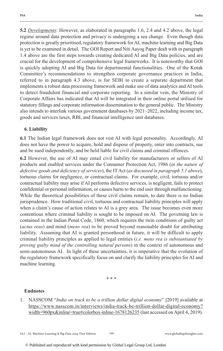**5.2** *Developments*: However, as elaborated in paragraphs 1.6, 2.4 and 4.2 above, the legal regime around data protection and privacy is undergoing a sea change. Even though data protection is greatly prioritised, regulatory framework for AI, machine learning and Big Data is yet to be examined in detail. The GOI Report and Niti Aayog Paper dealt with in paragraph 1.4 above are the first steps towards creating dedicated AI and Big Data policies, and are crucial for the development of comprehensive legal frameworks. It is noteworthy that GOI is quickly adopting AI and Big Data for departmental functionalities. One of the Kotak Committee's recommendations to strengthen corporate governance practices in India, referred to in paragraph 4.3 above, is for SEBI to create a separate department that implements a robust data processing framework and make use of data analytics and AI tools to detect fraudulent financial and corporate reporting. In a similar vein, the Ministry of Corporate Affairs has indicated that AI will be integrated in their online portal utilised for statutory fillings and corporate information dissemination to the general public. The Ministry also intends to interlink various government databases by 2021–2022, including income tax, goods and services taxes, RBI, and financial intelligence unit databases.

#### **6. Liability**

**6.1** The Indian legal framework does not vest AI with legal personality. Accordingly, AI does not have the power to acquire, hold and dispose of property, enter into contracts, sue and be sued independently, and be held liable for civil claims and criminal offences.

**6.2** However, the use of AI may entail civil liability for manufacturers or sellers of AI products and enabled services under the Consumer Protection Act, 1986 (*in the nature of defective goods and deficiency of services*), the IT Act (*as discussed in paragraph 5.1 above*), tortuous claims for negligence, or contractual claims. For example, civil, tortuous and/or contractual liability may arise if AI performs defective services, is negligent, fails to protect confidential or personal information, or causes harm to the end user through malfunctioning. While the theoretical possibilities of these civil claims remain, to date there is no Indian jurisprudence. How traditional civil, tortuous and contractual liability principles will apply when a claim's cause of action relates to AI is a grey area. The issue becomes even more contentious where criminal liability is sought to be imposed on AI. The governing law is contained in the Indian Penal Code, 1860, which requires the twin conditions of guilty act (*actus reus*) and mind (*mens rea*) to be proved beyond reasonable doubt for attributing liability. Assuming that AI is granted personhood in future, it will be difficult to apply criminal liability principles as applied to legal entities (*i.e. mens rea is substantiated by proving guilty mind of the controlling natural persons*) in the context of autonomous and semi-autonomous AI. In light of these uncertainties, it is imperative that the evolution of the regulatory framework specifically focus on and clarify the liability principles for AI and machine learning.

\* \* \*

#### **Endnotes**

1. NASSCOM "*India on track to be a trillion dollar digital economy*" [2019] available at https://www.nasscom.in/interviews/india-track-be-trillion-dollar-digital-economy? width=960px&inline=true#colorbox-inline-1678126235 (last accessed on April 4, 2019).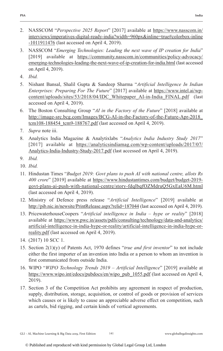- 2. NASSCOM "*Perspective 2025 Report*" [2017] available at https://www.nasscom.in/ interviews/imperatives-digital-ready-india?width=960px&inline=true#colorbox-inline -1011911476 (last accessed on April 4, 2019).
- 3. NASSCOM "*Emerging Technologies: Leading the next wave of IP creation for India*" [2019] available at https://community.nasscom.in/communities/policy-advocacy/ emerging-technologies-leading-the-next-wave-of-ip-creation-for-india.html (last accessed on April 4, 2019).
- 4. *Ibid.*
- 5. Nishant Bansal, Shalil Gupta & Sandeep Sharma "*Artificial Intelligence In Indian Enterprises: Preparing For The Future*" [2017] available at https://www.intel.ai/wpcontent/uploads/sites/53/2018/04/IDC\_Whitepaper\_AI-in-India\_FINAL.pdf (last accessed on April 4, 2019).
- 6. The Boston Consulting Group "*AI in the Factory of the Future*" [2018] available at http://image-src.bcg.com/Images/BCG-AI-in-the-Factory-of-the-Future-Apr-2018\_ tcm108-188454\_tcm9-188767.pdf (last accessed on April 4, 2019).
- 7. *Supra* note iii.
- 8. Analytics India Magazine & Analytixlabs "*Analytics India Industry Study 2017*" [2017] available at https://analyticsindiamag.com/wp-content/uploads/2017/07/ Analytics-India-Industry-Study-2017.pdf (last accessed on April 4, 2019).
- 9. *Ibid.*
- 10. *Ibid.*
- 11. Hindustan Times "*Budget 2019: Govt plans to push AI with national centre, allots Rs 400 crore*" [2019] available at https://www.hindustantimes.com/budget/budget-2019 govt-plans-ai-push-with-national-centre/story-fdqlbqfOZMdruQ5GxEaU6M.html (last accessed on April 4, 2019).
- 12. Ministry of Defence press release "*Artificial Intelligence*" [2019] available at http://pib.nic.in/newsite/PrintRelease.aspx?relid=187044 (last accessed on April 4, 2019).
- 13. PricewaterhouseCoopers "*Artificial intelligence in India hype or reality*" [2018] available at https://www.pwc.in/assets/pdfs/consulting/technology/data-and-analytics/ artificial-intelligence-in-india-hype-or-reality/artificial-intelligence-in-india-hype-orreality.pdf (last accessed on April 4, 2019).
- 14. (2017) 10 SCC 1.
- 15. Section 2(1)(y) of Patents Act, 1970 defines "*true and first inventor*" to not include either the first importer of an invention into India or a person to whom an invention is first communicated from outside India.
- 16. WIPO "*WIPO Technology Trends 2019 Artificial Intelligence*" [2019] available at https://www.wipo.int/edocs/pubdocs/en/wipo\_pub\_1055.pdf (last accessed on April 4, 2019).
- 17. Section 3 of the Competition Act prohibits any agreement in respect of production, supply, distribution, storage, acquisition, or control of goods or provision of services which causes or is likely to cause an appreciable adverse effect on competition, such as cartels, bid rigging, and certain kinds of vertical agreements.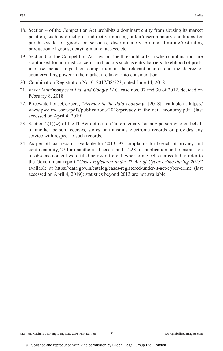- 18. Section 4 of the Competition Act prohibits a dominant entity from abusing its market position, such as directly or indirectly imposing unfair/discriminatory conditions for purchase/sale of goods or services, discriminatory pricing, limiting/restricting production of goods, denying market access, etc.
- 19. Section 6 of the Competition Act lays out the threshold criteria when combinations are scrutinised for antitrust concerns and factors such as entry barriers, likelihood of profit increase, actual impact on competition in the relevant market and the degree of countervailing power in the market are taken into consideration.
- 20. Combination Registration No. C-2017/08/523, dated June 14, 2018.
- 21. *In re: Matrimony.com Ltd. and Google LLC*, case nos. 07 and 30 of 2012, decided on February 8, 2018.
- 22. PricewaterhouseCoopers, "*Privacy in the data economy*" [2018] available at https:// www.pwc.in/assets/pdfs/publications/2018/privacy-in-the-data-economy.pdf (last accessed on April 4, 2019).
- 23. Section  $2(1)(w)$  of the IT Act defines an "intermediary" as any person who on behalf of another person receives, stores or transmits electronic records or provides any service with respect to such records.
- 24. As per official records available for 2013, 93 complaints for breach of privacy and confidentiality, 27 for unauthorised access and 1,228 for publication and transmission of obscene content were filed across different cyber crime cells across India; refer to the Government report "*Cases registered under IT Act of Cyber crime during 2013*" available at https://data.gov.in/catalog/cases-registered-under-it-act-cyber-crime (last accessed on April 4, 2019); statistics beyond 2013 are not available.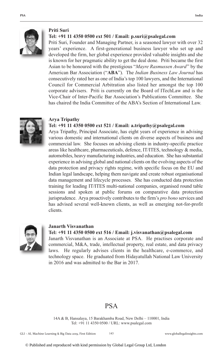

#### **Priti Suri**

#### **Tel: +91 11 4350 0500 ext 501 / Email: p.suri@psalegal.com**

Priti Suri, Founder and Managing Partner, is a seasoned lawyer with over 32 years' experience. A first-generational business lawyer who set up and developed the firm, her global experience provided valuable insights and she is known for her pragmatic ability to get the deal done. Priti became the first Asian to be honoured with the prestigious "*Mayre Rasmussen Award*" by the American Bar Association ("**ABA**"). The *Indian Business Law Journal* has consecutively rated her as one of India's top 100 lawyers, and the International Council for Commercial Arbitration also listed her amongst the top 100 corporate advisers. Priti is currently on the Board of ITechLaw and is the Vice-Chair of Inter-Pacific Bar Association's Publications Committee. She has chaired the India Committee of the ABA's Section of International Law.



#### **Arya Tripathy**

#### **Tel: +91 11 4350 0500 ext 521 / Email: a.tripathy@psalegal.com**

Arya Tripathy, Principal Associate, has eight years of experience in advising various domestic and international clients on diverse aspects of business and commercial law. She focuses on advising clients in industry-specific practice areas like healthcare, pharmaceuticals, defence, IT/ITES, technology & media, automobiles, heavy manufacturing industries, and education. She has substantial experience in advising global and national clients on the evolving aspects of the data protection and privacy rights regime, with specific focus on the EU and Indian legal landscape, helping them navigate and create robust organisational data management and lifecycle processes. She has conducted data protection training for leading IT/ITES multi-national companies, organised round table sessions and spoken at public forums on comparative data protection jurisprudence. Arya proactively contributes to the firm's *pro bono* services and has advised several well-known clients, as well as emerging not-for-profit clients.



#### **Janarth Visvanathan**

#### **Tel: +91 11 4350 0500 ext 516 / Email: j.visvanathan@psalegal.com**

Janarth Visvanathan is an Associate at PSA. He practises corporate and commercial, M&A, trade, intellectual property, real estate, and data privacy laws. He regularly advises clients in the healthcare, e-commerce, and technology space. He graduated from Hidayatullah National Law University in 2016 and was admitted to the Bar in 2017.

#### PSA

14A & B, Hansalaya, 15 Barakhamba Road, New Delhi – 110001, India Tel: +91 11 4350 0500 / URL: www.psalegal.com